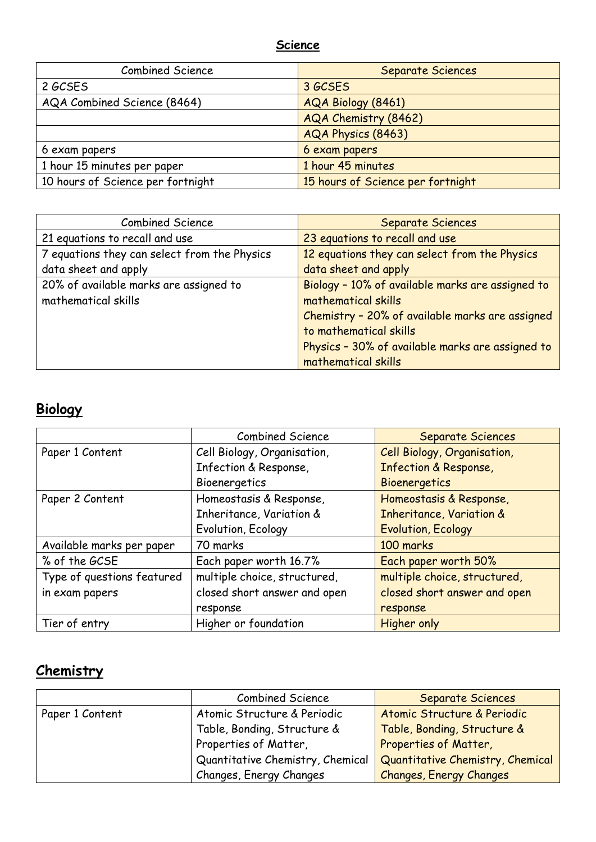#### **Science**

| <b>Combined Science</b>           | Separate Sciences                 |
|-----------------------------------|-----------------------------------|
| 2 GCSES                           | 3 GCSES                           |
| AQA Combined Science (8464)       | AQA Biology (8461)                |
|                                   | AQA Chemistry (8462)              |
|                                   | AQA Physics (8463)                |
| 6 exam papers                     | 6 exam papers                     |
| 1 hour 15 minutes per paper       | 1 hour 45 minutes                 |
| 10 hours of Science per fortnight | 15 hours of Science per fortnight |

| <b>Combined Science</b>                      | <b>Separate Sciences</b>                         |
|----------------------------------------------|--------------------------------------------------|
| 21 equations to recall and use               | 23 equations to recall and use                   |
| 7 equations they can select from the Physics | 12 equations they can select from the Physics    |
| data sheet and apply                         | data sheet and apply                             |
| 20% of available marks are assigned to       | Biology - 10% of available marks are assigned to |
| mathematical skills                          | mathematical skills                              |
|                                              | Chemistry - 20% of available marks are assigned  |
|                                              | to mathematical skills                           |
|                                              | Physics - 30% of available marks are assigned to |
|                                              | mathematical skills                              |

# **Biology**

|                            | <b>Combined Science</b>      | <b>Separate Sciences</b>            |
|----------------------------|------------------------------|-------------------------------------|
| Paper 1 Content            | Cell Biology, Organisation,  | Cell Biology, Organisation,         |
|                            | Infection & Response,        | <b>Infection &amp; Response,</b>    |
|                            | Bioenergetics                | Bioenergetics                       |
| Paper 2 Content            | Homeostasis & Response,      | Homeostasis & Response,             |
|                            | Inheritance, Variation &     | <b>Inheritance, Variation &amp;</b> |
|                            | Evolution, Ecology           | <b>Evolution, Ecology</b>           |
| Available marks per paper  | 70 marks                     | 100 marks                           |
| % of the GCSE              | Each paper worth 16.7%       | Each paper worth 50%                |
| Type of questions featured | multiple choice, structured, | multiple choice, structured,        |
| in exam papers             | closed short answer and open | closed short answer and open        |
|                            | response                     | response                            |
| Tier of entry              | Higher or foundation         | <b>Higher only</b>                  |

# **Chemistry**

|                 | <b>Combined Science</b>          | Separate Sciences                |
|-----------------|----------------------------------|----------------------------------|
| Paper 1 Content | Atomic Structure & Periodic      | Atomic Structure & Periodic      |
|                 | Table, Bonding, Structure &      | Table, Bonding, Structure &      |
|                 | Properties of Matter,            | Properties of Matter,            |
|                 | Quantitative Chemistry, Chemical | Quantitative Chemistry, Chemical |
|                 | Changes, Energy Changes          | <b>Changes, Energy Changes</b>   |